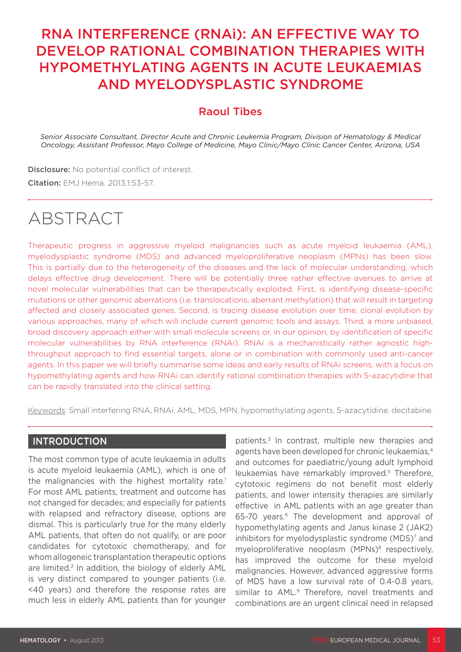# RNA INTERFERENCE (RNAi): AN EFFECTIVE WAY TO DEVELOP RATIONAL COMBINATION THERAPIES WITH HYPOMETHYLATING AGENTS IN ACUTE LEUKAEMIAS AND MYELODYSPLASTIC SYNDROME

## Raoul Tibes

*Senior Associate Consultant, Director Acute and Chronic Leukemia Program, Division of Hematology & Medical Oncology, Assistant Professor, Mayo College of Medicine, Mayo Clinic/Mayo Clinic Cancer Center, Arizona, USA*

**Disclosure:** No potential conflict of interest.

Citation: EMJ Hema. 2013;1:53-57.

# ABSTRACT

Therapeutic progress in aggressive myeloid malignancies such as acute myeloid leukaemia (AML), myelodysplastic syndrome (MDS) and advanced myeloproliferative neoplasm (MPNs) has been slow. This is partially due to the heterogeneity of the diseases and the lack of molecular understanding, which delays effective drug development. There will be potentially three rather effective avenues to arrive at novel molecular vulnerabilities that can be therapeutically exploited. First, is identifying disease-specific mutations or other genomic aberrations (i.e. translocations, aberrant methylation) that will result in targeting affected and closely associated genes. Second, is tracing disease evolution over time, clonal evolution by various approaches, many of which will include current genomic tools and assays. Third, a more unbiased, broad discovery approach either with small molecule screens or, in our opinion, by identification of specific molecular vulnerabilities by RNA interference (RNAi). RNAi is a mechanistically rather agnostic highthroughput approach to find essential targets, alone or in combination with commonly used anti-cancer agents. In this paper we will briefly summarise some ideas and early results of RNAi screens, with a focus on hypomethylating agents and how RNAi can identify rational combination therapies with 5-azacytidine that can be rapidly translated into the clinical setting.

Keywords: Small interfering RNA, RNAi, AML, MDS, MPN, hypomethylating agents, 5-azacytidine, decitabine.

#### **INTRODUCTION**

The most common type of acute leukaemia in adults is acute myeloid leukaemia (AML), which is one of the malignancies with the highest mortality rate.<sup>1</sup> For most AML patients, treatment and outcome has not changed for decades; and especially for patients with relapsed and refractory disease, options are dismal. This is particularly true for the many elderly AML patients, that often do not qualify, or are poor candidates for cytotoxic chemotherapy, and for whom allogeneic transplantation therapeutic options are limited.<sup>2</sup> In addition, the biology of elderly AML is very distinct compared to younger patients (i.e. <40 years) and therefore the response rates are much less in elderly AML patients than for younger patients.3 In contrast, multiple new therapies and agents have been developed for chronic leukaemias,4 and outcomes for paediatric/young adult lymphoid leukaemias have remarkably improved.<sup>5</sup> Therefore, cytotoxic regimens do not benefit most elderly patients, and lower intensity therapies are similarly effective in AML patients with an age greater than 65-70 years.<sup>6</sup> The development and approval of hypomethylating agents and Janus kinase 2 (JAK2) inhibitors for myelodysplastic syndrome (MDS)<sup>7</sup> and myeloproliferative neoplasm (MPNs)<sup>8</sup> respectively, has improved the outcome for these myeloid malignancies. However, advanced aggressive forms of MDS have a low survival rate of 0.4-0.8 years, similar to AML.<sup>9</sup> Therefore, novel treatments and combinations are an urgent clinical need in relapsed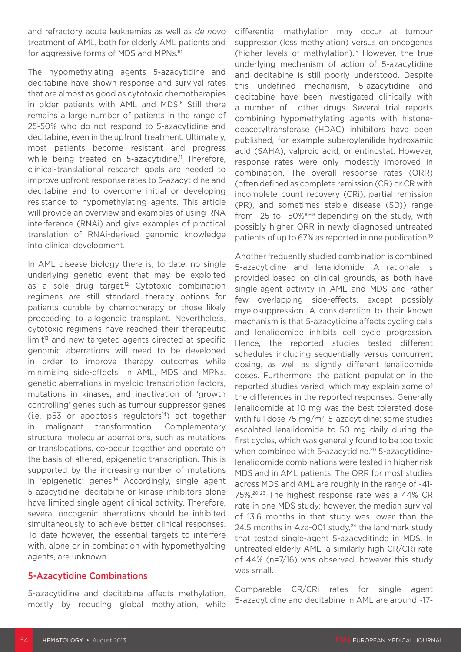and refractory acute leukaemias as well as *de novo* treatment of AML, both for elderly AML patients and for aggressive forms of MDS and MPNs.10

The hypomethylating agents 5-azacytidine and decitabine have shown response and survival rates that are almost as good as cytotoxic chemotherapies in older patients with AML and MDS.<sup>6</sup> Still there remains a large number of patients in the range of 25-50% who do not respond to 5-azacytidine and decitabine, even in the upfront treatment. Ultimately, most patients become resistant and progress while being treated on  $5$ -azacytidine.<sup>11</sup> Therefore, clinical-translational research goals are needed to improve upfront response rates to 5-azacytidine and decitabine and to overcome initial or developing resistance to hypomethylating agents. This article will provide an overview and examples of using RNA interference (RNAi) and give examples of practical translation of RNAi-derived genomic knowledge into clinical development.

In AML disease biology there is, to date, no single underlying genetic event that may be exploited as a sole drug target.<sup>12</sup> Cytotoxic combination regimens are still standard therapy options for patients curable by chemotherapy or those likely proceeding to allogeneic transplant. Nevertheless, cytotoxic regimens have reached their therapeutic limit<sup>13</sup> and new targeted agents directed at specific genomic aberrations will need to be developed in order to improve therapy outcomes while minimising side-effects. In AML, MDS and MPNs, genetic aberrations in myeloid transcription factors, mutations in kinases, and inactivation of 'growth controlling' genes such as tumour suppressor genes  $(i.e. p53$  or apoptosis regulators<sup>14</sup>) act together in malignant transformation. Complementary structural molecular aberrations, such as mutations or translocations, co-occur together and operate on the basis of altered, epigenetic transcription. This is supported by the increasing number of mutations in 'epigenetic' genes.<sup>14</sup> Accordingly, single agent 5-azacytidine, decitabine or kinase inhibitors alone have limited single agent clinical activity. Therefore, several oncogenic aberrations should be inhibited simultaneously to achieve better clinical responses. To date however, the essential targets to interfere with, alone or in combination with hypomethyalting agents, are unknown.

#### 5-Azacytidine Combinations

5-azacytidine and decitabine affects methylation, mostly by reducing global methylation, while

differential methylation may occur at tumour suppressor (less methylation) versus on oncogenes (higher levels of methylation).15 However, the true underlying mechanism of action of 5-azacytidine and decitabine is still poorly understood. Despite this undefined mechanism, 5-azacytidine and decitabine have been investigated clinically with a number of other drugs. Several trial reports combining hypomethylating agents with histonedeacetyltransferase (HDAC) inhibitors have been published, for example suberoylanilide hydroxamic acid (SAHA), valproic acid, or entinostat. However, response rates were only modestly improved in combination. The overall response rates (ORR) (often defined as complete remission (CR) or CR with incomplete count recovery (CRi), partial remission (PR), and sometimes stable disease (SD)) range from ~25 to ~50%16-18 depending on the study, with possibly higher ORR in newly diagnosed untreated patients of up to 67% as reported in one publication.<sup>19</sup>

Another frequently studied combination is combined 5-azacytidine and lenalidomide. A rationale is provided based on clinical grounds, as both have single-agent activity in AML and MDS and rather few overlapping side-effects, except possibly myelosuppression. A consideration to their known mechanism is that 5-azacytidine affects cycling cells and lenalidomide inhibits cell cycle progression. Hence, the reported studies tested different schedules including sequentially versus concurrent dosing, as well as slightly different lenalidomide doses. Furthermore, the patient population in the reported studies varied, which may explain some of the differences in the reported responses. Generally lenalidomide at 10 mg was the best tolerated dose with full dose 75 mg/m<sup>2</sup> 5-azacytidine; some studies escalated lenalidomide to 50 mg daily during the first cycles, which was generally found to be too toxic when combined with 5-azacytidine.<sup>20</sup> 5-azacytidinelenalidomide combinations were tested in higher risk MDS and in AML patients. The ORR for most studies across MDS and AML are roughly in the range of ~41- 75%.20-23 The highest response rate was a 44% CR rate in one MDS study; however, the median survival of 13.6 months in that study was lower than the 24.5 months in Aza-001 study, $24$  the landmark study that tested single-agent 5-azacyditinde in MDS. In untreated elderly AML, a similarly high CR/CRi rate of 44% (n=7/16) was observed, however this study was small.

Comparable CR/CRi rates for single agent 5-azacytidine and decitabine in AML are around ~17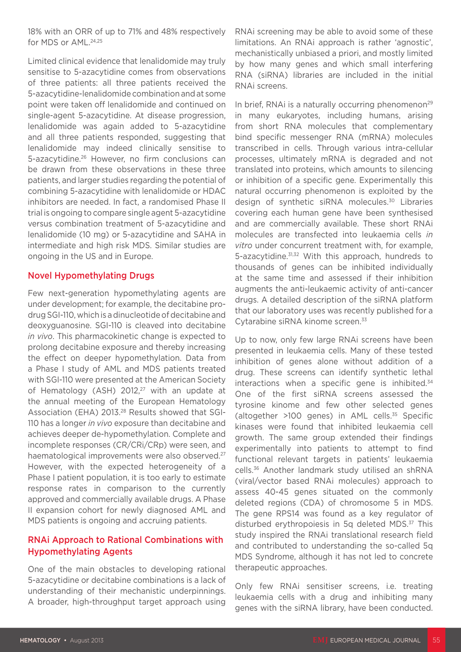18% with an ORR of up to 71% and 48% respectively for MDS or AML.<sup>24,25</sup>

Limited clinical evidence that lenalidomide may truly sensitise to 5-azacytidine comes from observations of three patients: all three patients received the 5-azacytidine-lenalidomide combination and at some point were taken off lenalidomide and continued on single-agent 5-azacytidine. At disease progression, lenalidomide was again added to 5-azacytidine and all three patients responded, suggesting that lenalidomide may indeed clinically sensitise to 5-azacytidine.26 However, no firm conclusions can be drawn from these observations in these three patients, and larger studies regarding the potential of combining 5-azacytidine with lenalidomide or HDAC inhibitors are needed. In fact, a randomised Phase II trial is ongoing to compare single agent 5-azacytidine versus combination treatment of 5-azacytidine and lenalidomide (10 mg) or 5-azacytidine and SAHA in intermediate and high risk MDS. Similar studies are ongoing in the US and in Europe.

#### Novel Hypomethylating Drugs

Few next-generation hypomethylating agents are under development; for example, the decitabine prodrug SGI-110, which is a dinucleotide of decitabine and deoxyguanosine. SGI-110 is cleaved into decitabine *in vivo*. This pharmacokinetic change is expected to prolong decitabine exposure and thereby increasing the effect on deeper hypomethylation. Data from a Phase I study of AML and MDS patients treated with SGI-110 were presented at the American Society of Hematology (ASH)  $2012<sub>,27</sub>$  with an update at the annual meeting of the European Hematology Association (EHA) 2013.28 Results showed that SGI-110 has a longer *in vivo* exposure than decitabine and achieves deeper de-hypomethylation. Complete and incomplete responses (CR/CRi/CRp) were seen, and haematological improvements were also observed.<sup>27</sup> However, with the expected heterogeneity of a Phase I patient population, it is too early to estimate response rates in comparison to the currently approved and commercially available drugs. A Phase II expansion cohort for newly diagnosed AML and MDS patients is ongoing and accruing patients.

#### RNAi Approach to Rational Combinations with Hypomethylating Agents

One of the main obstacles to developing rational 5-azacytidine or decitabine combinations is a lack of understanding of their mechanistic underpinnings. A broader, high-throughput target approach using

RNAi screening may be able to avoid some of these limitations. An RNAi approach is rather 'agnostic', mechanistically unbiased a priori, and mostly limited by how many genes and which small interfering RNA (siRNA) libraries are included in the initial RNAi screens.

In brief, RNAi is a naturally occurring phenomenon<sup>29</sup> in many eukaryotes, including humans, arising from short RNA molecules that complementary bind specific messenger RNA (mRNA) molecules transcribed in cells. Through various intra-cellular processes, ultimately mRNA is degraded and not translated into proteins, which amounts to silencing or inhibition of a specific gene. Experimentally this natural occurring phenomenon is exploited by the design of synthetic siRNA molecules.30 Libraries covering each human gene have been synthesised and are commercially available. These short RNAi molecules are transfected into leukaemia cells *in vitro* under concurrent treatment with, for example, 5-azacytidine.31,32 With this approach, hundreds to thousands of genes can be inhibited individually at the same time and assessed if their inhibition augments the anti-leukaemic activity of anti-cancer drugs. A detailed description of the siRNA platform that our laboratory uses was recently published for a Cytarabine siRNA kinome screen.33

Up to now, only few large RNAi screens have been presented in leukaemia cells. Many of these tested inhibition of genes alone without addition of a drug. These screens can identify synthetic lethal interactions when a specific gene is inhibited. $34$ One of the first siRNA screens assessed the tyrosine kinome and few other selected genes (altogether >100 genes) in AML cells.35 Specific kinases were found that inhibited leukaemia cell growth. The same group extended their findings experimentally into patients to attempt to find functional relevant targets in patients' leukaemia cells.36 Another landmark study utilised an shRNA (viral/vector based RNAi molecules) approach to assess 40-45 genes situated on the commonly deleted regions (CDA) of chromosome 5 in MDS. The gene RPS14 was found as a key regulator of disturbed erythropoiesis in 5q deleted MDS.<sup>37</sup> This study inspired the RNAi translational research field and contributed to understanding the so-called 5q MDS Syndrome, although it has not led to concrete therapeutic approaches.

Only few RNAi sensitiser screens, i.e. treating leukaemia cells with a drug and inhibiting many genes with the siRNA library, have been conducted.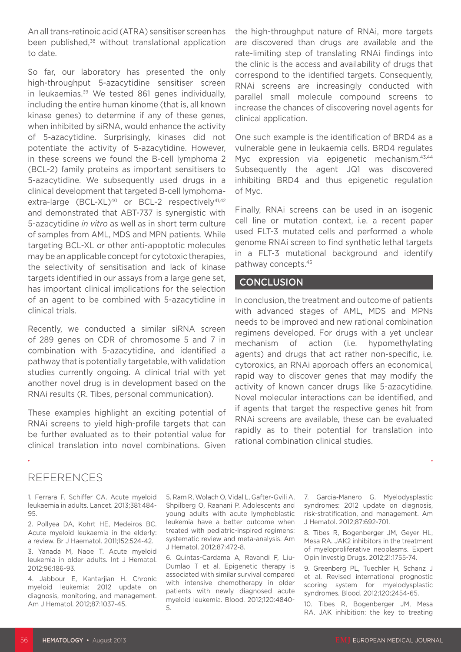An all trans-retinoic acid (ATRA) sensitiser screen has been published,<sup>38</sup> without translational application to date.

So far, our laboratory has presented the only high-throughput 5-azacytidine sensitiser screen in leukaemias.<sup>39</sup> We tested 861 genes individually, including the entire human kinome (that is, all known kinase genes) to determine if any of these genes, when inhibited by siRNA, would enhance the activity of 5-azacytidine. Surprisingly, kinases did not potentiate the activity of 5-azacytidine. However, in these screens we found the B-cell lymphoma 2 (BCL-2) family proteins as important sensitisers to 5-azacytidine. We subsequently used drugs in a clinical development that targeted B-cell lymphomaextra-large (BCL-XL)<sup>40</sup> or BCL-2 respectively<sup>41,42</sup> and demonstrated that ABT-737 is synergistic with 5-azacytidine *in vitro* as well as in short term culture of samples from AML, MDS and MPN patients. While targeting BCL-XL or other anti-apoptotic molecules may be an applicable concept for cytotoxic therapies, the selectivity of sensitisation and lack of kinase targets identified in our assays from a large gene set, has important clinical implications for the selection of an agent to be combined with 5-azacytidine in clinical trials.

Recently, we conducted a similar siRNA screen of 289 genes on CDR of chromosome 5 and 7 in combination with 5-azacytidine, and identified a pathway that is potentially targetable, with validation studies currently ongoing. A clinical trial with yet another novel drug is in development based on the RNAi results (R. Tibes, personal communication).

These examples highlight an exciting potential of RNAi screens to yield high-profile targets that can be further evaluated as to their potential value for clinical translation into novel combinations. Given the high-throughput nature of RNAi, more targets are discovered than drugs are available and the rate-limiting step of translating RNAi findings into the clinic is the access and availability of drugs that correspond to the identified targets. Consequently, RNAi screens are increasingly conducted with parallel small molecule compound screens to increase the chances of discovering novel agents for clinical application.

One such example is the identification of BRD4 as a vulnerable gene in leukaemia cells. BRD4 regulates Myc expression via epigenetic mechanism.<sup>43,44</sup> Subsequently the agent JQ1 was discovered inhibiting BRD4 and thus epigenetic regulation of Myc.

Finally, RNAi screens can be used in an isogenic cell line or mutation context, i.e. a recent paper used FLT-3 mutated cells and performed a whole genome RNAi screen to find synthetic lethal targets in a FLT-3 mutational background and identify pathway concepts.45

#### **CONCLUSION**

In conclusion, the treatment and outcome of patients with advanced stages of AML, MDS and MPNs needs to be improved and new rational combination regimens developed. For drugs with a yet unclear mechanism of action (i.e. hypomethylating agents) and drugs that act rather non-specific, i.e. cytoroxics, an RNAi approach offers an economical, rapid way to discover genes that may modify the activity of known cancer drugs like 5-azacytidine. Novel molecular interactions can be identified, and if agents that target the respective genes hit from RNAi screens are available, these can be evaluated rapidly as to their potential for translation into rational combination clinical studies.

### REFERENCES

1. Ferrara F, Schiffer CA. Acute myeloid leukaemia in adults. Lancet. 2013;381:484- 95.

2. Pollyea DA, Kohrt HE, Medeiros BC. Acute myeloid leukaemia in the elderly: a review. Br J Haematol. 2011;152:524-42.

3. Yanada M, Naoe T. Acute myeloid leukemia in older adults. Int J Hematol. 2012;96:186-93.

4. Jabbour E, Kantarjian H. Chronic myeloid leukemia: 2012 update on diagnosis, monitoring, and management. Am J Hematol. 2012;87:1037-45.

5. Ram R, Wolach O, Vidal L, Gafter-Gvili A, Shpilberg O, Raanani P. Adolescents and young adults with acute lymphoblastic leukemia have a better outcome when treated with pediatric-inspired regimens: systematic review and meta-analysis. Am J Hematol. 2012;87:472-8.

6. Quintas-Cardama A, Ravandi F, Liu-Dumlao T et al. Epigenetic therapy is associated with similar survival compared with intensive chemotherapy in older patients with newly diagnosed acute myeloid leukemia. Blood. 2012;120:4840- 5.

7. Garcia-Manero G. Myelodysplastic syndromes: 2012 update on diagnosis, risk-stratification, and management. Am J Hematol. 2012;87:692-701.

8. Tibes R, Bogenberger JM, Geyer HL, Mesa RA. JAK2 inhibitors in the treatment of myeloproliferative neoplasms. Expert Opin Investig Drugs. 2012;21:1755-74.

9. Greenberg PL, Tuechler H, Schanz J et al. Revised international prognostic scoring system for myelodysplastic syndromes. Blood. 2012;120:2454-65.

10. Tibes R, Bogenberger JM, Mesa RA. JAK inhibition: the key to treating